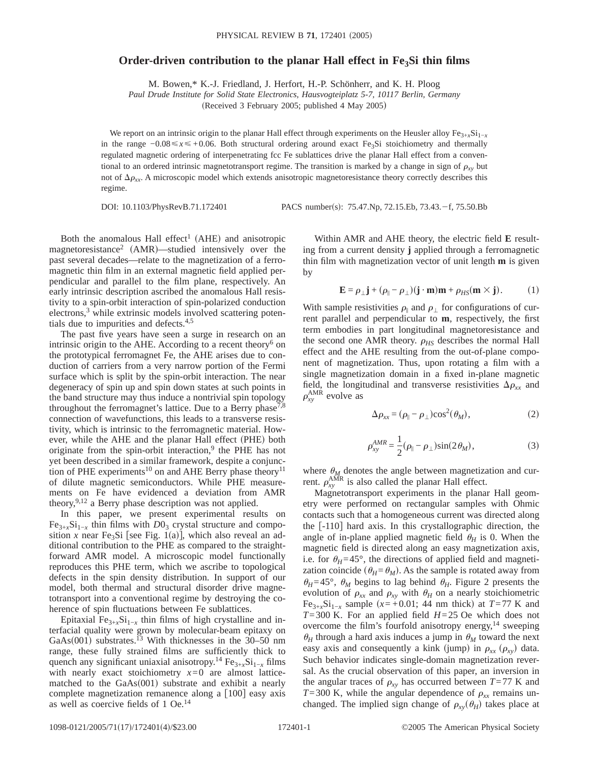## **Order-driven contribution to the planar Hall effect in Fe<sub>3</sub>Si thin films**

M. Bowen,\* K.-J. Friedland, J. Herfort, H.-P. Schönherr, and K. H. Ploog

*Paul Drude Institute for Solid State Electronics, Hausvogteiplatz 5-7, 10117 Berlin, Germany*

(Received 3 February 2005; published 4 May 2005)

We report on an intrinsic origin to the planar Hall effect through experiments on the Heusler alloy Fe<sub>3+*x*</sub>Si<sub>1−*x*</sub> in the range −0.08 ≤ *x* ≤ +0.06. Both structural ordering around exact Fe<sub>3</sub>Si stoichiometry and thermally regulated magnetic ordering of interpenetrating fcc Fe sublattices drive the planar Hall effect from a conventional to an ordered intrinsic magnetotransport regime. The transition is marked by a change in sign of  $\rho_{xy}$  but not of  $\Delta \rho_{xx}$ . A microscopic model which extends anisotropic magnetoresistance theory correctly describes this regime.

DOI: 10.1103/PhysRevB.71.172401 PACS number(s): 75.47.Np, 72.15.Eb, 73.43. -f, 75.50.Bb

Both the anomalous Hall effect<sup>1</sup> (AHE) and anisotropic magnetoresistance<sup>2</sup> (AMR)—studied intensively over the past several decades—relate to the magnetization of a ferromagnetic thin film in an external magnetic field applied perpendicular and parallel to the film plane, respectively. An early intrinsic description ascribed the anomalous Hall resistivity to a spin-orbit interaction of spin-polarized conduction electrons,<sup>3</sup> while extrinsic models involved scattering potentials due to impurities and defects.4,5

The past five years have seen a surge in research on an intrinsic origin to the AHE. According to a recent theory<sup>6</sup> on the prototypical ferromagnet Fe, the AHE arises due to conduction of carriers from a very narrow portion of the Fermi surface which is split by the spin-orbit interaction. The near degeneracy of spin up and spin down states at such points in the band structure may thus induce a nontrivial spin topology throughout the ferromagnet's lattice. Due to a Berry phase<sup>7,8</sup> connection of wavefunctions, this leads to a transverse resistivity, which is intrinsic to the ferromagnetic material. However, while the AHE and the planar Hall effect (PHE) both originate from the spin-orbit interaction,<sup>9</sup> the PHE has not yet been described in a similar framework, despite a conjunction of PHE experiments<sup>10</sup> on and AHE Berry phase theory<sup>11</sup> of dilute magnetic semiconductors. While PHE measurements on Fe have evidenced a deviation from AMR theory,<sup>9,12</sup> a Berry phase description was not applied.

In this paper, we present experimental results on  $Fe_{3+x}Si_{1-x}$  thin films with  $D0_3$  crystal structure and composition *x* near Fe<sub>3</sub>Si [see Fig. 1(a)], which also reveal an additional contribution to the PHE as compared to the straightforward AMR model. A microscopic model functionally reproduces this PHE term, which we ascribe to topological defects in the spin density distribution. In support of our model, both thermal and structural disorder drive magnetotransport into a conventional regime by destroying the coherence of spin fluctuations between Fe sublattices.

Epitaxial Fe $_{3+x}$ Si<sub>1−*x*</sub> thin films of high crystalline and interfacial quality were grown by molecular-beam epitaxy on GaAs $(001)$  substrates.<sup>13</sup> With thicknesses in the 30–50 nm range, these fully strained films are sufficiently thick to quench any significant uniaxial anisotropy.<sup>14</sup> Fe<sub>3+*x*</sub>Si<sub>1−*x*</sub> films with nearly exact stoichiometry  $x=0$  are almost latticematched to the  $GaAs(001)$  substrate and exhibit a nearly complete magnetization remanence along a  $[100]$  easy axis as well as coercive fields of 1 Oe.14

Within AMR and AHE theory, the electric field **E** resulting from a current density **j** applied through a ferromagnetic thin film with magnetization vector of unit length **m** is given by

$$
\mathbf{E} = \rho_{\perp} \mathbf{j} + (\rho_{\parallel} - \rho_{\perp}) (\mathbf{j} \cdot \mathbf{m}) \mathbf{m} + \rho_{HS} (\mathbf{m} \times \mathbf{j}). \tag{1}
$$

With sample resistivities  $\rho_{\parallel}$  and  $\rho_{\perp}$  for configurations of current parallel and perpendicular to **m**, respectively, the first term embodies in part longitudinal magnetoresistance and the second one AMR theory.  $\rho$ <sub>*HS*</sub> describes the normal Hall effect and the AHE resulting from the out-of-plane component of magnetization. Thus, upon rotating a film with a single magnetization domain in a fixed in-plane magnetic field, the longitudinal and transverse resistivities  $\Delta \rho_{xx}$  and  $\rho_{xy}^{\text{AMR}}$  evolve as

$$
\Delta \rho_{xx} = (\rho_{\parallel} - \rho_{\perp}) \cos^2(\theta_M), \tag{2}
$$

$$
\rho_{xy}^{AMR} = \frac{1}{2} (\rho_{\parallel} - \rho_{\perp}) \sin(2\theta_M), \qquad (3)
$$

where  $\theta_M$  denotes the angle between magnetization and current.  $\rho_{xy}^{\text{AMR}}$  is also called the planar Hall effect.

Magnetotransport experiments in the planar Hall geometry were performed on rectangular samples with Ohmic contacts such that a homogeneous current was directed along the  $[-110]$  hard axis. In this crystallographic direction, the angle of in-plane applied magnetic field  $\theta_H$  is 0. When the magnetic field is directed along an easy magnetization axis, i.e. for  $\theta_H = 45^\circ$ , the directions of applied field and magnetization coincide ( $\theta_H = \theta_M$ ). As the sample is rotated away from  $\theta_H = 45^\circ$ ,  $\theta_M$  begins to lag behind  $\theta_H$ . Figure 2 presents the evolution of  $\rho_{xx}$  and  $\rho_{xy}$  with  $\theta_H$  on a nearly stoichiometric Fe<sub>3+*x*</sub>Si<sub>1−*x*</sub> sample ( $x=+0.01$ ; 44 nm thick) at *T*=77 K and *T*=300 K. For an applied field *H*=25 Oe which does not overcome the film's fourfold anisotropy energy,<sup>14</sup> sweeping  $\theta_H$  through a hard axis induces a jump in  $\theta_M$  toward the next easy axis and consequently a kink (jump) in  $\rho_{xx}$  ( $\rho_{xy}$ ) data. Such behavior indicates single-domain magnetization reversal. As the crucial observation of this paper, an inversion in the angular traces of  $\rho_{xy}$  has occurred between *T*=77 K and *T*=300 K, while the angular dependence of  $\rho_{xx}$  remains unchanged. The implied sign change of  $\rho_{xy}(\theta_H)$  takes place at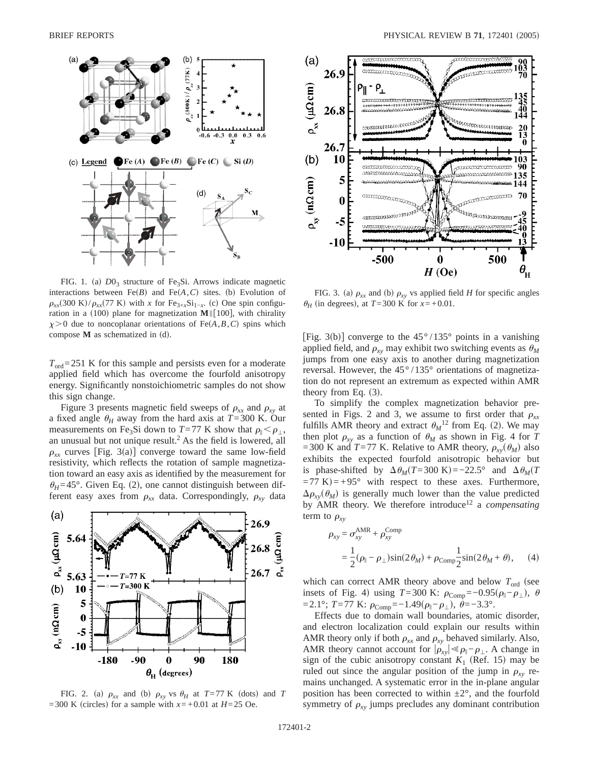

FIG. 1. (a)  $D0<sub>3</sub>$  structure of Fe<sub>3</sub>Si. Arrows indicate magnetic interactions between  $Fe(B)$  and  $Fe(A, C)$  sites. (b) Evolution of  $\rho_{xx}(300 \text{ K})/\rho_{xx}(77 \text{ K})$  with *x* for Fe<sub>3+x</sub>Si<sub>1−x</sub>. (c) One spin configuration in a  $(100)$  plane for magnetization **M**|| $[100]$ , with chirality  $x > 0$  due to noncoplanar orientations of Fe $(A, B, C)$  spins which compose  $M$  as schematized in  $(d)$ .

 $T_{\text{ord}}$ =251 K for this sample and persists even for a moderate applied field which has overcome the fourfold anisotropy energy. Significantly nonstoichiometric samples do not show this sign change.

Figure 3 presents magnetic field sweeps of  $\rho_{xx}$  and  $\rho_{xy}$  at a fixed angle  $\theta_H$  away from the hard axis at  $T=300$  K. Our measurements on Fe<sub>3</sub>Si down to *T*=77 K show that  $\rho_{\parallel} < \rho_{\perp}$ , an unusual but not unique result. $<sup>2</sup>$  As the field is lowered, all</sup>  $\rho_{rr}$  curves [Fig. 3(a)] converge toward the same low-field resistivity, which reflects the rotation of sample magnetization toward an easy axis as identified by the measurement for  $\theta_H = 45^\circ$ . Given Eq. (2), one cannot distinguish between different easy axes from  $\rho_{xx}$  data. Correspondingly,  $\rho_{xy}$  data



FIG. 2. (a)  $\rho_{xx}$  and (b)  $\rho_{xy}$  vs  $\theta_H$  at  $T = 77$  K (dots) and *T* =300 K (circles) for a sample with  $x= +0.01$  at  $H=25$  Oe.



FIG. 3. (a)  $\rho_{xx}$  and (b)  $\rho_{xy}$  vs applied field *H* for specific angles  $\theta_H$  (in degrees), at *T*=300 K for *x*=+0.01.

[Fig. 3(b)] converge to the  $45^{\circ}/135^{\circ}$  points in a vanishing applied field, and  $\rho_{xy}$  may exhibit two switching events as  $\theta_M$ jumps from one easy axis to another during magnetization reversal. However, the 45° /135° orientations of magnetization do not represent an extremum as expected within AMR theory from Eq.  $(3)$ .

To simplify the complex magnetization behavior presented in Figs. 2 and 3, we assume to first order that  $\rho_{xx}$ fulfills AMR theory and extract  $\theta_M^{12}$  from Eq. (2). We may then plot  $\rho_{xy}$  as a function of  $\theta_M$  as shown in Fig. 4 for *T* =300 K and *T*=77 K. Relative to AMR theory,  $\rho_{yy}(\theta_M)$  also exhibits the expected fourfold anisotropic behavior but is phase-shifted by  $\Delta \theta_M(T=300 \text{ K}) = -22.5^\circ$  and  $\Delta \theta_M(T=300 \text{ K})$  $(1-77 \text{ K}) = +95^{\circ}$  with respect to these axes. Furthermore,  $\Delta \rho_{\rm rv}(\theta_M)$  is generally much lower than the value predicted by AMR theory. We therefore introduce12 a *compensating* term to  $\rho_{xy}$ 

$$
\rho_{xy} = \sigma_{xy}^{\text{AMR}} + \rho_{xy}^{\text{Comp}}
$$
  
=  $\frac{1}{2}(\rho_{\parallel} - \rho_{\perp})\sin(2\theta_M) + \rho_{\text{Comp}} \frac{1}{2}\sin(2\theta_M + \theta),$  (4)

which can correct AMR theory above and below  $T_{\text{ord}}$  (see insets of Fig. 4) using *T*=300 K:  $\rho_{Comp} = -0.95(\rho_{\parallel} - \rho_{\perp}), \theta$  $=$ 2.1°; *T*=77 K:  $\rho$ <sub>Comp</sub>=−1.49( $\rho$ <sub>||</sub>− $\rho$ <sub>⊥</sub>),  $\theta$ =−3.3°.

Effects due to domain wall boundaries, atomic disorder, and electron localization could explain our results within AMR theory only if both  $\rho_{xx}$  and  $\rho_{xy}$  behaved similarly. Also, AMR theory cannot account for  $|\rho_{xy}| \ll \rho_{\parallel} - \rho_{\perp}$ . A change in sign of the cubic anisotropy constant  $K_1$  (Ref. 15) may be ruled out since the angular position of the jump in  $\rho_{xy}$  remains unchanged. A systematic error in the in-plane angular position has been corrected to within  $\pm 2^{\circ}$ , and the fourfold symmetry of  $\rho_{xy}$  jumps precludes any dominant contribution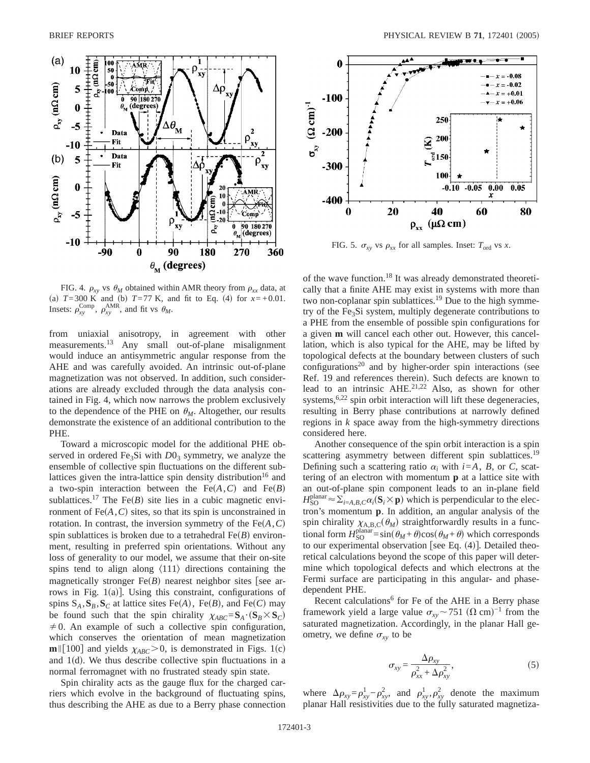

FIG. 4.  $\rho_{xy}$  vs  $\theta_M$  obtained within AMR theory from  $\rho_{xx}$  data, at (a)  $T=300$  K and (b)  $T=77$  K, and fit to Eq. (4) for  $x=+0.01$ . Insets:  $\rho_{xy}^{\text{Comp}}, \rho_{xy}^{\text{AMR}},$  and fit vs  $\theta_M$ .

from uniaxial anisotropy, in agreement with other measurements.<sup>13</sup> Any small out-of-plane misalignment would induce an antisymmetric angular response from the AHE and was carefully avoided. An intrinsic out-of-plane magnetization was not observed. In addition, such considerations are already excluded through the data analysis contained in Fig. 4, which now narrows the problem exclusively to the dependence of the PHE on  $\theta_M$ . Altogether, our results demonstrate the existence of an additional contribution to the PHE.

Toward a microscopic model for the additional PHE observed in ordered Fe<sub>3</sub>Si with  $D_0$ <sub>3</sub> symmetry, we analyze the ensemble of collective spin fluctuations on the different sublattices given the intra-lattice spin density distribution<sup>16</sup> and a two-spin interaction between the  $Fe(A, C)$  and  $Fe(B)$ sublattices.<sup>17</sup> The Fe $(B)$  site lies in a cubic magnetic environment of  $Fe(A, C)$  sites, so that its spin is unconstrained in rotation. In contrast, the inversion symmetry of the  $Fe(A, C)$ spin sublattices is broken due to a tetrahedral  $Fe(B)$  environment, resulting in preferred spin orientations. Without any loss of generality to our model, we assume that their on-site spins tend to align along  $\langle 111 \rangle$  directions containing the magnetically stronger  $Fe(B)$  nearest neighbor sites [see arrows in Fig.  $1(a)$ ]. Using this constraint, configurations of spins  $S_A$ ,  $S_B$ ,  $S_C$  at lattice sites Fe(A), Fe(B), and Fe(C) may be found such that the spin chirality  $\chi_{ABC} = \mathbf{S}_A \cdot (\mathbf{S}_B \times \mathbf{S}_C)$  $\neq$  0. An example of such a collective spin configuration, which conserves the orientation of mean magnetization **m**||[100] and yields  $\chi_{ABC}$  > 0, is demonstrated in Figs. 1(c) and  $1(d)$ . We thus describe collective spin fluctuations in a normal ferromagnet with no frustrated steady spin state.

Spin chirality acts as the gauge flux for the charged carriers which evolve in the background of fluctuating spins, thus describing the AHE as due to a Berry phase connection



FIG. 5.  $\sigma_{xy}$  vs  $\rho_{xx}$  for all samples. Inset:  $T_{\text{ord}}$  vs *x*.

of the wave function.18 It was already demonstrated theoretically that a finite AHE may exist in systems with more than two non-coplanar spin sublattices.<sup>19</sup> Due to the high symmetry of the Fe<sub>3</sub>Si system, multiply degenerate contributions to a PHE from the ensemble of possible spin configurations for a given **m** will cancel each other out. However, this cancellation, which is also typical for the AHE, may be lifted by topological defects at the boundary between clusters of such configurations<sup>20</sup> and by higher-order spin interactions (see Ref. 19 and references therein). Such defects are known to lead to an intrinsic  $AHE^{21,22}$  Also, as shown for other systems,  $6.22$  spin orbit interaction will lift these degeneracies, resulting in Berry phase contributions at narrowly defined regions in *k* space away from the high-symmetry directions considered here.

Another consequence of the spin orbit interaction is a spin scattering asymmetry between different spin sublattices.<sup>19</sup> Defining such a scattering ratio  $\alpha_i$  with  $i = A$ ,  $B$ , or  $C$ , scattering of an electron with momentum **p** at a lattice site with an out-of-plane spin component leads to an in-plane field  $H_{SO}^{\text{planar}} \approx \sum_{i=A,B,C} \alpha_i (\mathbf{S}_i \times \mathbf{p})$  which is perpendicular to the electron's momentum **p**. In addition, an angular analysis of the spin chirality  $\chi_{A,B,C}(\theta_M)$  straightforwardly results in a functional form  $H_{\text{SO}}^{\text{planar}} = \sin(\theta_M + \theta)\cos(\theta_M + \theta)$  which corresponds to our experimental observation [see Eq.  $(4)$ ]. Detailed theoretical calculations beyond the scope of this paper will determine which topological defects and which electrons at the Fermi surface are participating in this angular- and phasedependent PHE.

Recent calculations<sup>6</sup> for Fe of the AHE in a Berry phase framework yield a large value  $\sigma_{xy} \sim 751 \ (\Omega \text{ cm})^{-1}$  from the saturated magnetization. Accordingly, in the planar Hall geometry, we define  $\sigma_{xy}$  to be

$$
\sigma_{xy} = \frac{\Delta \rho_{xy}}{\rho_{xx}^2 + \Delta \rho_{xy}^2},\tag{5}
$$

where  $\Delta \rho_{xy} = \rho_{xy}^1 - \rho_{xy}^2$ , and  $\rho_{xy}^1$ ,  $\rho_{xy}^2$  denote the maximum planar Hall resistivities due to the fully saturated magnetiza-